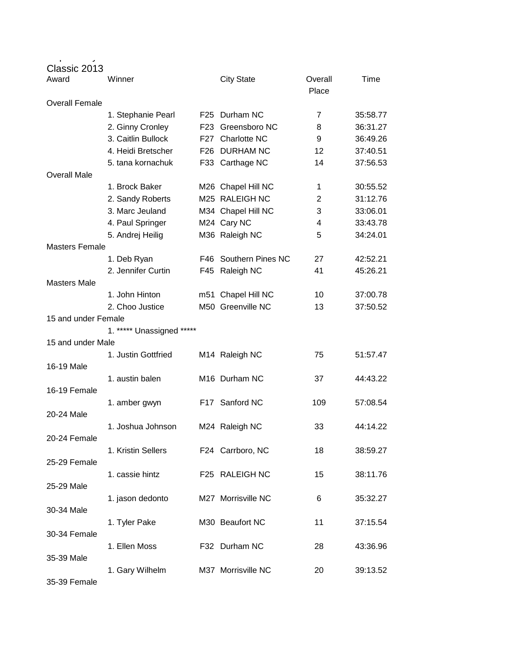| Classic 2013<br>Award | Winner                    |     | <b>City State</b>         | Overall        | Time     |
|-----------------------|---------------------------|-----|---------------------------|----------------|----------|
|                       |                           |     |                           | Place          |          |
| <b>Overall Female</b> |                           |     |                           |                |          |
|                       | 1. Stephanie Pearl        |     | F25 Durham NC             | 7              | 35:58.77 |
|                       | 2. Ginny Cronley          |     | F23 Greensboro NC         | 8              | 36:31.27 |
|                       | 3. Caitlin Bullock        | F27 | <b>Charlotte NC</b>       | 9              | 36:49.26 |
|                       | 4. Heidi Bretscher        |     | F26 DURHAM NC             | 12             | 37:40.51 |
|                       | 5. tana kornachuk         |     | F33 Carthage NC           | 14             | 37:56.53 |
| <b>Overall Male</b>   |                           |     |                           |                |          |
|                       | 1. Brock Baker            |     | M26 Chapel Hill NC        | 1              | 30:55.52 |
|                       | 2. Sandy Roberts          |     | M25 RALEIGH NC            | $\overline{2}$ | 31:12.76 |
|                       | 3. Marc Jeuland           |     | M34 Chapel Hill NC        | 3              | 33:06.01 |
|                       | 4. Paul Springer          |     | M24 Cary NC               | 4              | 33:43.78 |
|                       | 5. Andrej Heilig          |     | M36 Raleigh NC            | 5              | 34:24.01 |
| <b>Masters Female</b> |                           |     |                           |                |          |
|                       | 1. Deb Ryan               |     | F46 Southern Pines NC     | 27             | 42:52.21 |
|                       | 2. Jennifer Curtin        |     | F45 Raleigh NC            | 41             | 45:26.21 |
| <b>Masters Male</b>   |                           |     |                           |                |          |
|                       | 1. John Hinton            |     | m51 Chapel Hill NC        | 10             | 37:00.78 |
|                       | 2. Choo Justice           |     | M50 Greenville NC         | 13             | 37:50.52 |
| 15 and under Female   |                           |     |                           |                |          |
|                       | 1. ***** Unassigned ***** |     |                           |                |          |
| 15 and under Male     |                           |     |                           |                |          |
|                       | 1. Justin Gottfried       |     | M14 Raleigh NC            | 75             | 51:57.47 |
| 16-19 Male            |                           |     |                           |                |          |
|                       | 1. austin balen           |     | M <sub>16</sub> Durham NC | 37             | 44:43.22 |
| 16-19 Female          |                           |     |                           |                |          |
|                       | 1. amber gwyn             |     | F17 Sanford NC            | 109            | 57:08.54 |
| 20-24 Male            |                           |     |                           |                |          |
|                       | 1. Joshua Johnson         |     | M24 Raleigh NC            | 33             | 44:14.22 |
| 20-24 Female          |                           |     |                           |                |          |
|                       | 1. Kristin Sellers        |     | F24 Carrboro, NC          | 18             | 38:59.27 |
| 25-29 Female          |                           |     |                           |                |          |
|                       | 1. cassie hintz           |     | F25 RALEIGH NC            | 15             | 38:11.76 |
| 25-29 Male            |                           |     |                           |                |          |
|                       | 1. jason dedonto          |     | M27 Morrisville NC        | 6              | 35:32.27 |
| 30-34 Male            |                           |     |                           |                |          |
|                       | 1. Tyler Pake             |     | M30 Beaufort NC           | 11             | 37:15.54 |
| 30-34 Female          |                           |     |                           |                |          |
|                       | 1. Ellen Moss             |     | F32 Durham NC             | 28             | 43:36.96 |
| 35-39 Male            |                           |     |                           |                |          |
|                       | 1. Gary Wilhelm           |     | M37 Morrisville NC        | 20             | 39:13.52 |
|                       |                           |     |                           |                |          |

35-39 Female

Capital City